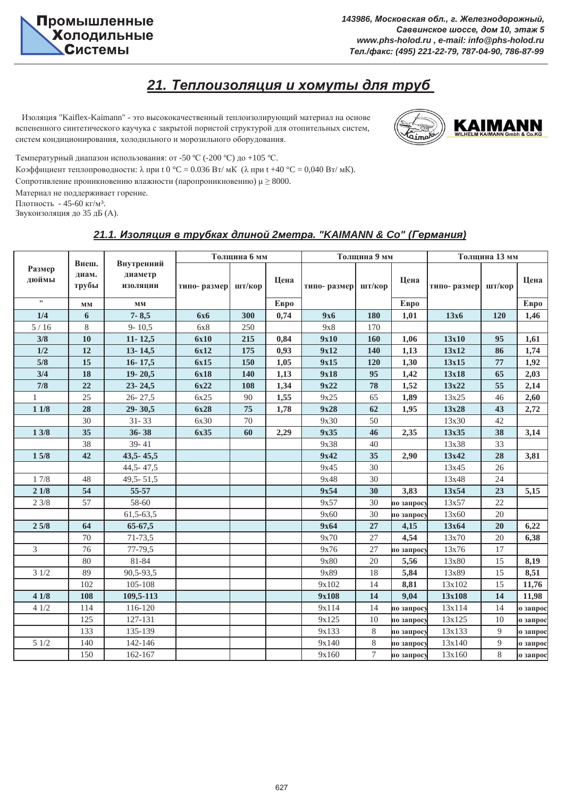## $21.$  Теплоизоляция и хомуты для труб

Изоляция "Kaiflex-Kaimann" - это высококачественный теплоизолирующий материал на основе вспененного синтетического каучука с закрытой пористой структурой для отопительных систем, систем кондиционирования, холодильного и морозильного оборудования.



Температурный диапазон использования: от -50 °С (-200 °С) до +105 °С.

Коэффициент теплопроводности: λ при t 0 °C = 0.036 Вт/ мК (λ при t +40 °C = 0,040 Вт/ мК).

Сопротивление проникновению влажности (паропроникновению)  $\mu \geq 8000$ .

Материал не поддерживает горение.

Плотность - 45-60 кг/м<sup>3</sup>.

Звукоизоляция до 35 дБ (А).

#### $21.1.$  Изоляция в трубках длиной 2метра. "KAIMANN & Co" (Германия)

|                 |                         |                                          |             | Толщина 6 мм |      |                    | Толщина 9 мм     |                          | Толщина 13 мм |        |          |
|-----------------|-------------------------|------------------------------------------|-------------|--------------|------|--------------------|------------------|--------------------------|---------------|--------|----------|
| Размер<br>дюймы | Внеш.<br>диам.<br>трубы | Внутренний<br>диаметр<br><b>ИЗОЛЯЦИИ</b> | типо-размер | шт/кор       | Цена | типо-размер шт/кор |                  | Цена                     | типо-размер   | шт/кор | Цена     |
| $\pmb{\cdots}$  | $\mathbf{M}\mathbf{M}$  | $\mathbf{M}\mathbf{M}$                   |             |              | Евро |                    |                  | Евро                     |               |        | Евро     |
| 1/4             | 6                       | $7 - 8,5$                                | <b>6x6</b>  | 300          | 0,74 | <b>9x6</b>         | 180              | 1,01                     | 13x6          | 120    | 1,46     |
| 5/16            | 8                       | $9 - 10,5$                               | 6x8         | 250          |      | 9x8                | 170              |                          |               |        |          |
| 3/8             | 10                      | $11 - 12,5$                              | 6x10        | 215          | 0,84 | 9x10               | 160              | 1,06                     | 13x10         | 95     | 1,61     |
| 1/2             | 12                      | $13 - 14,5$                              | 6x12        | 175          | 0,93 | 9x12               | 140              | 1,13                     | 13x12         | 86     | 1,74     |
| $5/8$           | 15                      | $16 - 17,5$                              | 6x15        | 150          | 1,05 | 9x15               | 120              | 1,30                     | 13x15         | 77     | 1,92     |
| 3/4             | 18                      | $19 - 20,5$                              | 6x18        | 140          | 1,13 | 9x18               | 95               | 1,42                     | 13x18         | 65     | 2,03     |
| 7/8             | 22                      | $23 - 24,5$                              | 6x22        | 108          | 1,34 | 9x22               | 78               | 1,52                     | 13x22         | 55     | 2,14     |
|                 | $25\,$                  | $26 - 27,5$                              | 6x25        | 90           | 1,55 | 9x25               | 65               | 1,89                     | 13x25         | $46\,$ | 2,60     |
| $11/8$          | 28                      | 29-30,5                                  | 6x28        | 75           | 1,78 | 9x28               | 62               | 1,95                     | 13x28         | 43     | 2,72     |
|                 | 30                      | $31 - 33$                                | 6x30        | 70           |      | 9x30               | 50               |                          | 13x30         | 42     |          |
| 13/8            | 35                      | $36 - 38$                                | 6x35        | 60           | 2,29 | 9x35               | 46               | 2,35                     | 13x35         | 38     | 3,14     |
|                 | 38                      | $39 - 41$                                |             |              |      | 9x38               | 40               |                          | 13x38         | 33     |          |
| $15/8$          | 42                      | $43,5 - 45,5$                            |             |              |      | 9x42               | 35               | 2,90                     | 13x42         | 28     | 3,81     |
|                 |                         | 44,5 - 47,5                              |             |              |      | 9x45               | 30               |                          | 13x45         | 26     |          |
| $1\ 7/8$        | 48                      | 49,5 - 51,5                              |             |              |      | 9x48               | 30               |                          | 13x48         | 24     |          |
| 21/8            | 54                      | 55-57                                    |             |              |      | 9x54               | 30               | 3,83                     | 13x54         | 23     | 5,15     |
| 23/8            | 57                      | 58-60                                    |             |              |      | 9x57               | 30               | по запросу               | 13x57         | 22     |          |
|                 |                         | $61,5-63,5$                              |             |              |      | 9x60               | 30               | по запрос <mark>у</mark> | 13x60         | 20     |          |
| 25/8            | 64                      | 65-67,5                                  |             |              |      | 9x64               | 27               | 4,15                     | 13x64         | 20     | 6,22     |
|                 | 70                      | 71-73,5                                  |             |              |      | 9x70               | 27               | 4,54                     | 13x70         | $20\,$ | 6,38     |
| $\overline{3}$  | 76                      | 77-79,5                                  |             |              |      | 9x76               | 27               | по запросу               | 13x76         | 17     |          |
|                 | 80                      | 81-84                                    |             |              |      | 9x80               | 20               | 5,56                     | 13x80         | 15     | 8,19     |
| 31/2            | 89                      | 90,5-93,5                                |             |              |      | 9x89               | 18               | 5,84                     | 13x89         | 15     | 8,51     |
|                 | 102                     | 105-108                                  |             |              |      | 9x102              | 14               | 8,81                     | 13x102        | 15     | 11,76    |
| 41/8            | 108                     | 109,5-113                                |             |              |      | 9x108              | 14               | 9,04                     | 13x108        | 14     | 11,98    |
| 41/2            | 114                     | 116-120                                  |             |              |      | 9x114              | 14               | по запросу               | 13x114        | 14     | о запрос |
|                 | 125                     | 127-131                                  |             |              |      | 9x125              | 10               | по запросу               | 13x125        | 10     | ю запрос |
|                 | 133                     | 135-139                                  |             |              |      | 9x133              | $8\,$            | по запросу               | 13x133        | 9      | о запрос |
| 51/2            | 140                     | 142-146                                  |             |              |      | 9x140              | $8\,$            | по запросу               | 13x140        | 9      | ю запрос |
|                 | 150                     | 162-167                                  |             |              |      | 9x160              | $\boldsymbol{7}$ | по запросу               | 13x160        | 8      | ю запрос |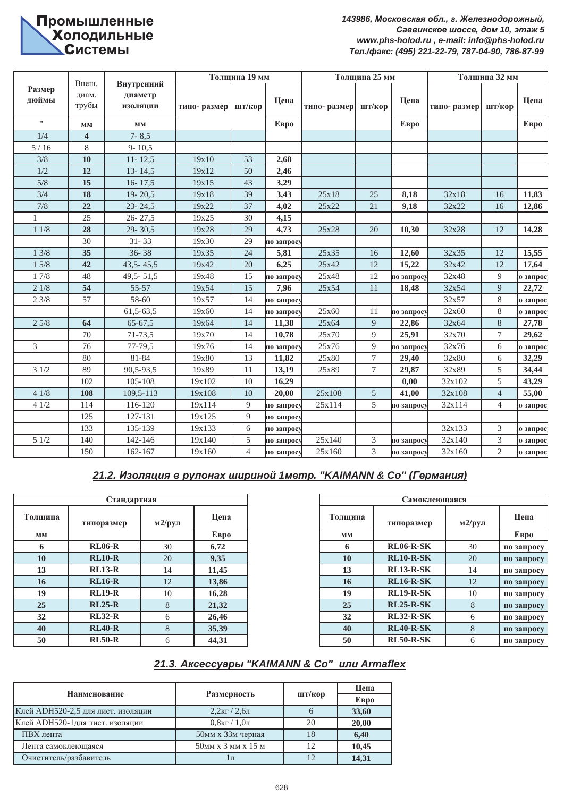# Промышленные<br>Холодильные **Ь СИСТЕМЫ**

 $143986,$  Московская обл., г. Железнодорожный,  $Ca$ ввинское шоссе, дом 10, этаж 5 *www.phs-holod.ru , e-mail: info@phs-holod.ru Ɍɟɥ./ɮɚɤɫ: (495) 221-22-79, 787-04-90, 786-87-99*

|                 |                         |                                          |             | Толщина 19 мм  |              | Толщина 25 мм      |                  |            | Толщина 32 мм |                |          |
|-----------------|-------------------------|------------------------------------------|-------------|----------------|--------------|--------------------|------------------|------------|---------------|----------------|----------|
| Размер<br>дюймы | Внеш.<br>диам.<br>трубы | Внутренний<br>диаметр<br><b>ИЗОЛЯЦИИ</b> | типо-размер | шт/кор         | Цена         | типо-размер шт/кор |                  | Цена       | типо-размер   | шт/кор         | Цена     |
| $\pmb{\cdots}$  | MM                      | $\mathbf{M}\mathbf{M}$                   |             |                | <b>E</b> Bpo |                    |                  | Евро       |               |                | Евро     |
| 1/4             | $\overline{\mathbf{4}}$ | $7 - 8,5$                                |             |                |              |                    |                  |            |               |                |          |
| $5/16$          | $\,8\,$                 | $9 - 10,5$                               |             |                |              |                    |                  |            |               |                |          |
| 3/8             | 10                      | $11 - 12,5$                              | 19x10       | 53             | 2,68         |                    |                  |            |               |                |          |
| 1/2             | 12                      | $13 - 14,5$                              | 19x12       | 50             | 2,46         |                    |                  |            |               |                |          |
| 5/8             | 15                      | $16 - 17,5$                              | 19x15       | 43             | 3,29         |                    |                  |            |               |                |          |
| 3/4             | 18                      | $19 - 20,5$                              | 19x18       | 39             | 3,43         | 25x18              | 25               | 8,18       | 32x18         | 16             | 11,83    |
| 7/8             | 22                      | $23 - 24.5$                              | 19x22       | 37             | 4,02         | 25x22              | 21               | 9,18       | 32x22         | 16             | 12,86    |
|                 | 25                      | $26 - 27,5$                              | 19x25       | 30             | 4,15         |                    |                  |            |               |                |          |
| 11/8            | 28                      | $29 - 30,5$                              | 19x28       | 29             | 4,73         | 25x28              | 20               | 10,30      | 32x28         | 12             | 14,28    |
|                 | 30                      | $31 - 33$                                | 19x30       | 29             | по запросу   |                    |                  |            |               |                |          |
| 13/8            | 35                      | $36 - 38$                                | 19x35       | 24             | 5,81         | 25x35              | 16               | 12,60      | 32x35         | 12             | 15,55    |
| 15/8            | 42                      | $43,5 - 45,5$                            | 19x42       | 20             | 6,25         | 25x42              | 12               | 15,22      | 32x42         | 12             | 17,64    |
| $17/8$          | 48                      | $49,5 - 51,5$                            | 19x48       | 15             | по запросу   | 25x48              | 12               | по запрос  | 32x48         | 9              | о запрос |
| 21/8            | 54                      | 55-57                                    | 19x54       | 15             | 7,96         | 25x54              | 11               | 18,48      | 32x54         | 9              | 22,72    |
| 23/8            | 57                      | 58-60                                    | 19x57       | 14             | по запросу   |                    |                  |            | 32x57         | 8              | о запрос |
|                 |                         | $61,5-63,5$                              | 19x60       | 14             | по запросу   | 25x60              | 11               | по запросу | 32x60         | 8              | о запрос |
| 25/8            | 64                      | $65 - 67,5$                              | 19x64       | 14             | 11,38        | 25x64              | $\overline{9}$   | 22,86      | 32x64         | $8\,$          | 27,78    |
|                 | 70                      | 71-73,5                                  | 19x70       | 14             | 10,78        | 25x70              | $\overline{9}$   | 25,91      | 32x70         | $\tau$         | 29,62    |
| 3               | 76                      | 77-79,5                                  | 19x76       | 14             | по запросу   | 25x76              | $\overline{9}$   | по запросу | 32x76         | 6              | о запрос |
|                 | 80                      | 81-84                                    | 19x80       | 13             | 11,82        | 25x80              | $\boldsymbol{7}$ | 29,40      | 32x80         | 6              | 32,29    |
| 31/2            | 89                      | 90,5-93,5                                | 19x89       | 11             | 13,19        | 25x89              | $\boldsymbol{7}$ | 29,87      | 32x89         | 5              | 34,44    |
|                 | 102                     | 105-108                                  | 19x102      | 10             | 16,29        |                    |                  | 0,00       | 32x102        | 5              | 43,29    |
| 41/8            | 108                     | 109,5-113                                | 19x108      | 10             | 20,00        | 25x108             | $\mathfrak{S}$   | 41,00      | 32x108        | $\overline{4}$ | 55,00    |
| 41/2            | 114                     | 116-120                                  | 19x114      | 9              | по запросу   | 25x114             | 5                | по запросу | 32x114        | $\overline{4}$ | ю запрос |
|                 | 125                     | 127-131                                  | 19x125      | 9              | по запросу   |                    |                  |            |               |                |          |
|                 | 133                     | 135-139                                  | 19x133      | $\sqrt{6}$     | по запросу   |                    |                  |            | 32x133        | 3              | о запрос |
| 51/2            | 140                     | 142-146                                  | 19x140      | 5              | по запросу   | 25x140             | $\mathfrak{Z}$   | по запросу | 32x140        | 3              | о запрос |
|                 | 150                     | 162-167                                  | 19x160      | $\overline{4}$ | по запросу   | 25x160             | 3                | по запросу | 32x160        | $\overline{2}$ | ю запрос |

### $21.2.$  Изоляция в рулонах шириной 1метр. "КАІМАNN & Со" (Германия)

|         | Стандартная |                   |       | Самокл  |                  |
|---------|-------------|-------------------|-------|---------|------------------|
| Толщина | типоразмер  | $M2$ / $py$ $\pi$ | Цена  | Толщина | типоразмер       |
| MM      |             |                   | EBpo  | MM      |                  |
| 6       | $RL06-R$    | 30                | 6,72  | 6       | <b>RL06-R-SK</b> |
| 10      | $RL10-R$    | 20                | 9,35  | 10      | <b>RL10-R-SK</b> |
| 13      | $RL13-R$    | 14                | 11,45 | 13      | <b>RL13-R-SK</b> |
| 16      | $RL16-R$    | 12                | 13,86 | 16      | <b>RL16-R-SK</b> |
| 19      | $RL19-R$    | 10                | 16,28 | 19      | <b>RL19-R-SK</b> |
| 25      | $RL25-R$    | 8                 | 21,32 | 25      | <b>RL25-R-SK</b> |
| 32      | $RL32-R$    | 6                 | 26,46 | 32      | <b>RL32-R-SK</b> |
| 40      | $RL40-R$    | 8                 | 35,39 | 40      | <b>RL40-R-SK</b> |
| 50      | $RL50-R$    | 6                 | 44,31 | 50      | <b>RL50-R-SK</b> |

|       | Стандартная   |                   |       |         | Самоклеющаяся    |            |                         |
|-------|---------------|-------------------|-------|---------|------------------|------------|-------------------------|
| пщина | типоразмер    | Цена<br>$M2$ /рул |       | Толщина | типоразмер       | м $2$ /рул | Цена                    |
| MМ    |               |                   | EBPO  | MM      |                  |            | <b>E</b> <sub>Bpo</sub> |
| 6     | $RL06-R$      | 30                | 6,72  | 6       | <b>RL06-R-SK</b> | 30         | по запросу              |
| 10    | $RL10-R$      | 20                | 9,35  | 10      | $RL10-R-SK$      | 20         | по запросу              |
| 13    | $RL13-R$      | 14                | 11,45 | 13      | $RL13-R-SK$      | 14         | по запросу              |
| 16    | $RL16-R$      | 12                | 13,86 | 16      | <b>RL16-R-SK</b> | 12         | по запросу              |
| 19    | <b>RL19-R</b> | 10                | 16,28 | 19      | <b>RL19-R-SK</b> | 10         | по запросу              |
| 25    | $RL25-R$      | 8                 | 21,32 | 25      | <b>RL25-R-SK</b> | 8          | по запросу              |
| 32    | $RL32-R$      | 6                 | 26,46 | 32      | <b>RL32-R-SK</b> | 6          | по запросу              |
| 40    | $RL40-R$      | 8                 | 35,39 | 40      | <b>RL40-R-SK</b> | 8          | по запросу              |
| 50    | $RL50-R$      | 6                 | 44,31 | 50      | <b>RL50-R-SK</b> | 6          | по запросу              |

#### $21.3.$  *Aксессуары "KAIMANN & Co" или Armaflex*

|                                    |                                                      |        | Шена                     |
|------------------------------------|------------------------------------------------------|--------|--------------------------|
| Наименование                       | Размерность                                          | шт/кор | <b>E</b> <sub>B</sub> po |
| Клей АDH520-2,5 для лист. изоляции | $2,2$ <sub>KT</sub> / $2,6$ <sub>JJ</sub>            |        | 33,60                    |
| Клей АDH520-1для лист. изоляции    | $0.8$ kt $/1.0$ ji                                   | 20     | 20,00                    |
| ПВХ лента                          | 50мм х 33м черная                                    | 18     | 6,40                     |
| Лента самоклеющаяся                | 50 <sub>MM</sub> x 3 <sub>MM</sub> x 15 <sub>M</sub> | 12     | 10.45                    |
| Очиститель/разбавитель             |                                                      |        | 14.31                    |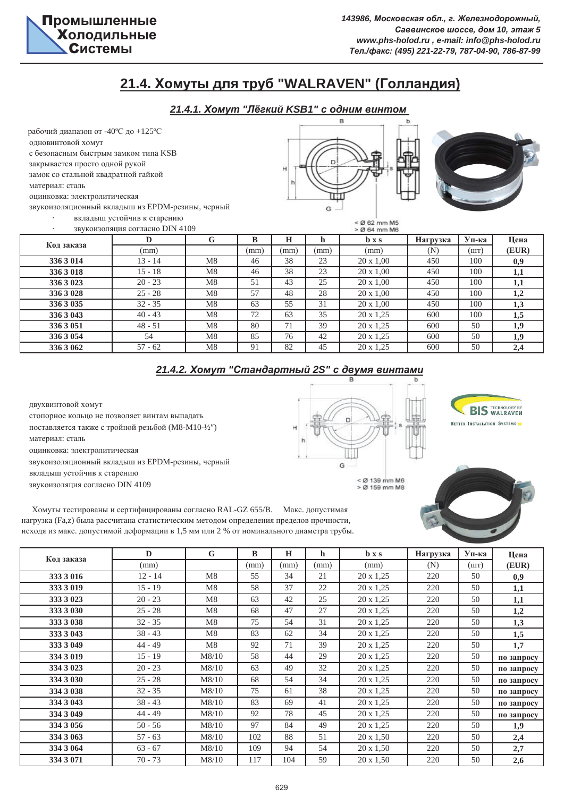

## $21.4.$  Хомуты для труб "WALRAVEN" (Голландия)

### $21.4.1$ . Хомут "Лёгкий KSB1" с одним винтом

рабочий диапазон от -40°С до +125°С одновинтовой хомут

с безопасным быстрым замком типа KSB

закрывается просто одной рукой

замок со стальной квадратной гайкой

материал: сталь

оцинковка: электролитическая

звукоизоляционный вкладыш из ЕРDM-резины, черный

вкладыш устойчив к старению

Ĥ  $\alpha$ 



| $\cdot$    | вкладыш устоичив к старению<br>звукоизоляция согласно DIN 4109 |    |      |      | $<$ Ø 62 mm M <sub>5</sub><br>$>$ Ø 64 mm M6 |                                |          |       |                  |
|------------|----------------------------------------------------------------|----|------|------|----------------------------------------------|--------------------------------|----------|-------|------------------|
| Код заказа | D                                                              | G  | B    | H    | h                                            | $\mathbf{b} \times \mathbf{s}$ | Нагрузка | Уп-ка | Цена             |
|            | (mm)                                                           |    | (mm) | (mm) | (mm)                                         | (mm)                           | (N)      | (шт)  | (EUR)            |
| 336 3 014  | $13 - 14$                                                      | M8 | 46   | 38   | 23                                           | $20 \times 1,00$               | 450      | 100   | 0.9 <sub>0</sub> |
| 336 3 018  | $15 - 18$                                                      | M8 | 46   | 38   | 23                                           | $20 \times 1,00$               | 450      | 100   | 1,1              |
| 336 3 023  | $20 - 23$                                                      | M8 | 51   | 43   | 25                                           | $20 \times 1,00$               | 450      | 100   | 1,1              |
| 336 3 028  | $25 - 28$                                                      | M8 | 57   | 48   | 28                                           | $20 \times 1,00$               | 450      | 100   | 1,2              |
| 336 3 035  | $32 - 35$                                                      | M8 | 63   | 55   | 31                                           | $20 \times 1,00$               | 450      | 100   | 1,3              |
| 336 3 043  | $40 - 43$                                                      | M8 | 72   | 63   | 35                                           | $20 \times 1.25$               | 600      | 100   | 1,5              |
| 336 3 051  | $48 - 51$                                                      | M8 | 80   | 71   | 39                                           | $20 \times 1,25$               | 600      | 50    | 1,9              |
| 336 3 054  | 54                                                             | M8 | 85   | 76   | 42                                           | $20 \times 1,25$               | 600      | 50    | 1,9              |
| 336 3 062  | $57 - 62$                                                      | M8 | 91   | 82   | 45                                           | $20 \times 1.25$               | 600      | 50    | 2,4              |

### $21.4.2$ . Хомут "Стандартный 2S" с двумя винтами

оцинковка: электролитическая звукоизоляционный вкладыш из ЕРDM-резины, черный вкладыш устойчив к старению двухвинтовой хомут стопорное кольцо не позволяет винтам выпадать поставляется также с тройной резьбой (М8-М10-1/2") материал: сталь

звукоизоляция согласно DIN 4109

G  $<$  Ø 139 mm M6<br> $>$  Ø 159 mm M8

**BIS TECHNOLOGY BY BETTER INSTALLATION SYSTEMS** 



Хомуты тестированы и сертифицированы согласно RAL-GZ 655/B. Макс. допустимая нагрузка (Fa,z) была рассчитана статистическим методом определения пределов прочности, исходя из макс. допустимой деформации в 1,5 мм или 2 % от номинального диаметра трубы.

|            | D         | G     | B    | $\bf H$ | h    | $\mathbf{b} \times \mathbf{s}$ | Нагрузка | Уп-ка | Цена       |
|------------|-----------|-------|------|---------|------|--------------------------------|----------|-------|------------|
| Код заказа | (mm)      |       | (mm) | (mm)    | (mm) | (mm)                           | (N)      | (шт)  | (EUR)      |
| 333 3 0 16 | $12 - 14$ | M8    | 55   | 34      | 21   | $20 \times 1,25$               | 220      | 50    | 0,9        |
| 333 3 019  | $15 - 19$ | M8    | 58   | 37      | 22   | $20 \times 1,25$               | 220      | 50    | 1,1        |
| 333 3 023  | $20 - 23$ | M8    | 63   | 42      | 25   | $20 \times 1,25$               | 220      | 50    | 1,1        |
| 333 3 0 30 | $25 - 28$ | M8    | 68   | 47      | 27   | $20 \times 1,25$               | 220      | 50    | 1,2        |
| 333 3 038  | $32 - 35$ | M8    | 75   | 54      | 31   | $20 \times 1,25$               | 220      | 50    | 1,3        |
| 333 3 043  | $38 - 43$ | M8    | 83   | 62      | 34   | $20 \times 1,25$               | 220      | 50    | 1,5        |
| 333 3 049  | $44 - 49$ | M8    | 92   | 71      | 39   | $20 \times 1,25$               | 220      | 50    | 1.7        |
| 334 3 019  | $15 - 19$ | M8/10 | 58   | 44      | 29   | $20 \times 1,25$               | 220      | 50    | по запросу |
| 334 3 023  | $20 - 23$ | M8/10 | 63   | 49      | 32   | $20 \times 1,25$               | 220      | 50    | по запросу |
| 334 3 0 30 | $25 - 28$ | M8/10 | 68   | 54      | 34   | $20 \times 1,25$               | 220      | 50    | по запросу |
| 334 3 038  | $32 - 35$ | M8/10 | 75   | 61      | 38   | $20 \times 1,25$               | 220      | 50    | по запросу |
| 334 3 043  | $38 - 43$ | M8/10 | 83   | 69      | 41   | $20 \times 1,25$               | 220      | 50    | по запросу |
| 334 3 049  | $44 - 49$ | M8/10 | 92   | 78      | 45   | $20 \times 1,25$               | 220      | 50    | по запросу |
| 334 3 056  | $50 - 56$ | M8/10 | 97   | 84      | 49   | $20 \times 1,25$               | 220      | 50    | 1,9        |
| 334 3 063  | $57 - 63$ | M8/10 | 102  | 88      | 51   | $20 \times 1,50$               | 220      | 50    | 2,4        |
| 334 3 064  | $63 - 67$ | M8/10 | 109  | 94      | 54   | $20 \times 1,50$               | 220      | 50    | 2,7        |
| 334 3 071  | $70 - 73$ | M8/10 | 117  | 104     | 59   | $20 \times 1,50$               | 220      | 50    | 2,6        |